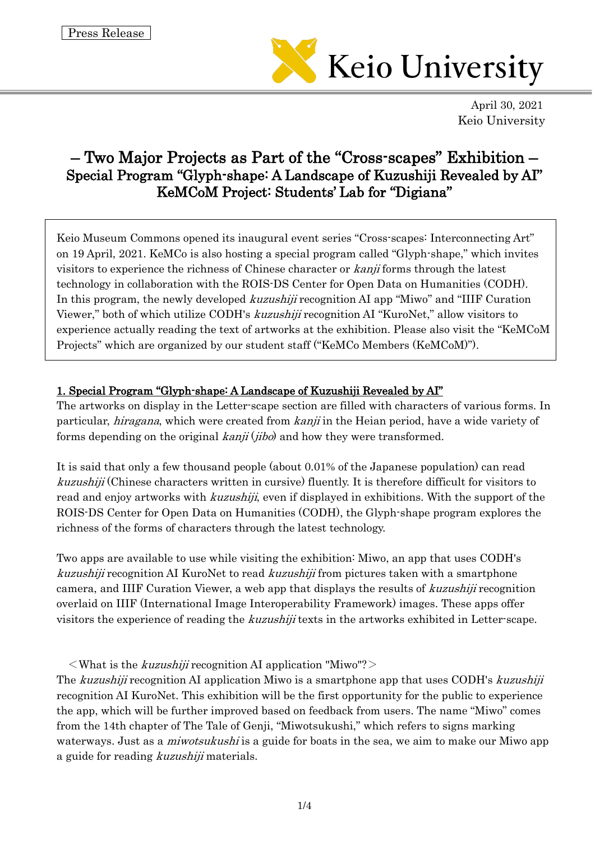

April 30, 2021 Keio University

# – Two Major Projects as Part of the "Cross-scapes" Exhibition – Special Program "Glyph-shape: A Landscape of Kuzushiji Revealed by AI" KeMCoM Project: Students' Lab for "Digiana"

Keio Museum Commons opened its inaugural event series "Cross-scapes: Interconnecting Art" on 19 April, 2021. KeMCo is also hosting a special program called "Glyph-shape," which invites visitors to experience the richness of Chinese character or kanji forms through the latest technology in collaboration with the ROIS-DS Center for Open Data on Humanities (CODH). In this program, the newly developed *kuzushiji* recognition AI app "Miwo" and "IIIF Curation" Viewer," both of which utilize CODH's kuzushiji recognition AI "KuroNet," allow visitors to experience actually reading the text of artworks at the exhibition. Please also visit the "KeMCoM Projects" which are organized by our student staff ("KeMCo Members (KeMCoM)").

## 1. Special Program "Glyph-shape: A Landscape of Kuzushiji Revealed by AI"

The artworks on display in the Letter-scape section are filled with characters of various forms. In particular, *hiragana*, which were created from *kanji* in the Heian period, have a wide variety of forms depending on the original  $kanii (iibo)$  and how they were transformed.

It is said that only a few thousand people (about 0.01% of the Japanese population) can read kuzushiji (Chinese characters written in cursive) fluently. It is therefore difficult for visitors to read and enjoy artworks with *kuzushiji*, even if displayed in exhibitions. With the support of the ROIS-DS Center for Open Data on Humanities (CODH), the Glyph-shape program explores the richness of the forms of characters through the latest technology.

Two apps are available to use while visiting the exhibition: Miwo, an app that uses CODH's kuzushiji recognition AI KuroNet to read kuzushiji from pictures taken with a smartphone camera, and IIIF Curation Viewer, a web app that displays the results of kuzushiji recognition overlaid on IIIF (International Image Interoperability Framework) images. These apps offer visitors the experience of reading the kuzushiji texts in the artworks exhibited in Letter-scape.

 $\langle$ What is the *kuzushiji* recognition AI application "Miwo"? $>$ 

The kuzushiji recognition AI application Miwo is a smartphone app that uses CODH's kuzushiji recognition AI KuroNet. This exhibition will be the first opportunity for the public to experience the app, which will be further improved based on feedback from users. The name "Miwo" comes from the 14th chapter of The Tale of Genji, "Miwotsukushi," which refers to signs marking waterways. Just as a *miwotsukushi* is a guide for boats in the sea, we aim to make our Miwo app a guide for reading kuzushiji materials.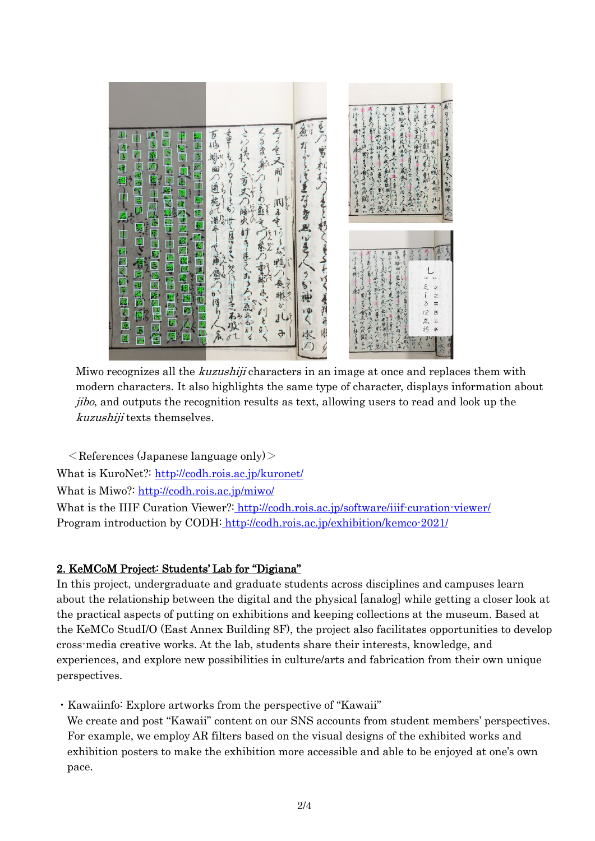

Miwo recognizes all the *kuzushiji* characters in an image at once and replaces them with modern characters. It also highlights the same type of character, displays information about jibo, and outputs the recognition results as text, allowing users to read and look up the kuzushiji texts themselves.

 $\leq$ References (Japanese language only) $\geq$ What is KuroNet?: <http://codh.rois.ac.jp/kuronet/> What is Miwo?: <http://codh.rois.ac.jp/miwo/> What is the IIIF Curation Viewer?: <http://codh.rois.ac.jp/software/iiif-curation-viewer/> Program introduction by CODH: <http://codh.rois.ac.jp/exhibition/kemco-2021/>

## 2. KeMCoM Project: Students' Lab for "Digiana"

In this project, undergraduate and graduate students across disciplines and campuses learn about the relationship between the digital and the physical [analog] while getting a closer look at the practical aspects of putting on exhibitions and keeping collections at the museum. Based at the KeMCo StudI/O (East Annex Building 8F), the project also facilitates opportunities to develop cross-media creative works. At the lab, students share their interests, knowledge, and experiences, and explore new possibilities in culture/arts and fabrication from their own unique perspectives.

・Kawaiinfo: Explore artworks from the perspective of "Kawaii"

We create and post "Kawaii" content on our SNS accounts from student members' perspectives. For example, we employ AR filters based on the visual designs of the exhibited works and exhibition posters to make the exhibition more accessible and able to be enjoyed at one's own pace.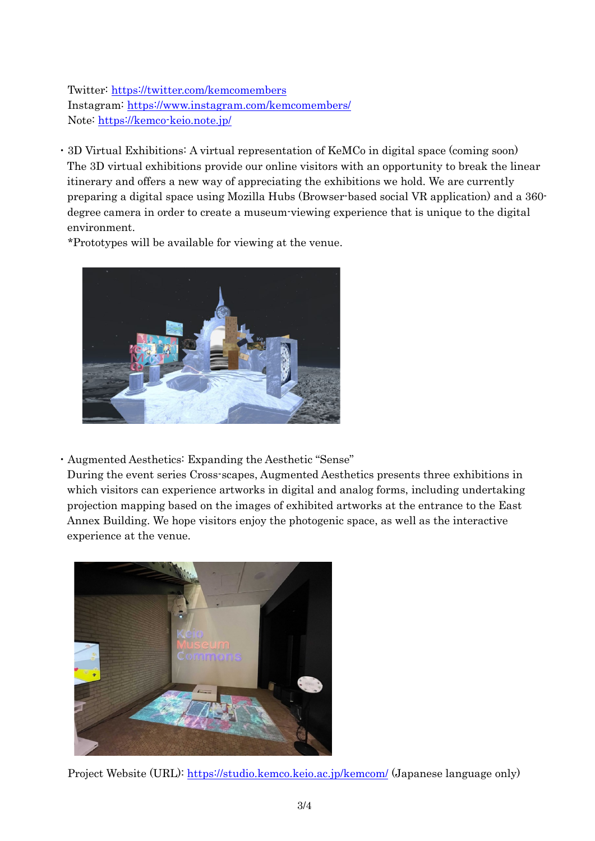Twitter:<https://twitter.com/kemcomembers> Instagram:<https://www.instagram.com/kemcomembers/> Note:<https://kemco-keio.note.jp/>

・3D Virtual Exhibitions: A virtual representation of KeMCo in digital space (coming soon) The 3D virtual exhibitions provide our online visitors with an opportunity to break the linear itinerary and offers a new way of appreciating the exhibitions we hold. We are currently preparing a digital space using Mozilla Hubs (Browser-based social VR application) and a 360 degree camera in order to create a museum-viewing experience that is unique to the digital environment.

\*Prototypes will be available for viewing at the venue.



・Augmented Aesthetics: Expanding the Aesthetic "Sense"

During the event series Cross-scapes, Augmented Aesthetics presents three exhibitions in which visitors can experience artworks in digital and analog forms, including undertaking projection mapping based on the images of exhibited artworks at the entrance to the East Annex Building. We hope visitors enjoy the photogenic space, as well as the interactive experience at the venue.



Project Website (URL):<https://studio.kemco.keio.ac.jp/kemcom/> (Japanese language only)